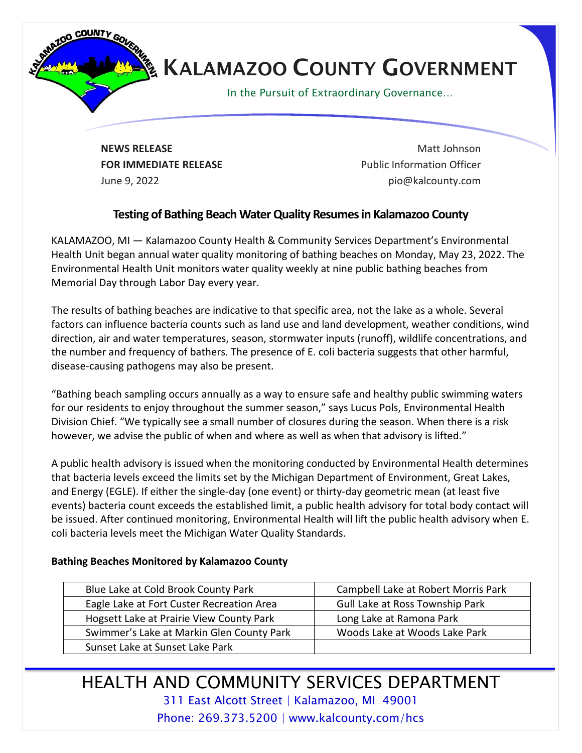

**NEWS RELEASE** Matt Johnson **FOR IMMEDIATE RELEASE EXAMPLE 2008** Public Information Officer June 9, 2022 pio@kalcounty.com

## **Testing of Bathing Beach Water Quality Resumesin Kalamazoo County**

KALAMAZOO, MI — Kalamazoo County Health & Community Services Department's Environmental Health Unit began annual water quality monitoring of bathing beaches on Monday, May 23, 2022. The Environmental Health Unit monitors water quality weekly at nine public bathing beaches from Memorial Day through Labor Day every year.

The results of bathing beaches are indicative to that specific area, not the lake as a whole. Several factors can influence bacteria counts such as land use and land development, weather conditions, wind direction, air and water temperatures, season, stormwater inputs (runoff), wildlife concentrations, and the number and frequency of bathers. The presence of E. coli bacteria suggests that other harmful, disease-causing pathogens may also be present.

"Bathing beach sampling occurs annually as a way to ensure safe and healthy public swimming waters for our residents to enjoy throughout the summer season," says Lucus Pols, Environmental Health Division Chief. "We typically see a small number of closures during the season. When there is a risk however, we advise the public of when and where as well as when that advisory is lifted."

A public health advisory is issued when the monitoring conducted by Environmental Health determines that bacteria levels exceed the limits set by the Michigan Department of Environment, Great Lakes, and Energy (EGLE). If either the single-day (one event) or thirty-day geometric mean (at least five events) bacteria count exceeds the established limit, a public health advisory for total body contact will be issued. After continued monitoring, Environmental Health will lift the public health advisory when E. coli bacteria levels meet the Michigan Water Quality Standards.

## **Bathing Beaches Monitored by Kalamazoo County**

| Blue Lake at Cold Brook County Park       | Campbell Lake at Robert Morris Park |
|-------------------------------------------|-------------------------------------|
| Eagle Lake at Fort Custer Recreation Area | Gull Lake at Ross Township Park     |
| Hogsett Lake at Prairie View County Park  | Long Lake at Ramona Park            |
| Swimmer's Lake at Markin Glen County Park | Woods Lake at Woods Lake Park       |
| Sunset Lake at Sunset Lake Park           |                                     |

HEALTH AND COMMUNITY SERVICES DEPARTMENT 311 East Alcott Street | Kalamazoo, MI 49001 Phone: 269.373.5200 | www.kalcounty.com/hcs